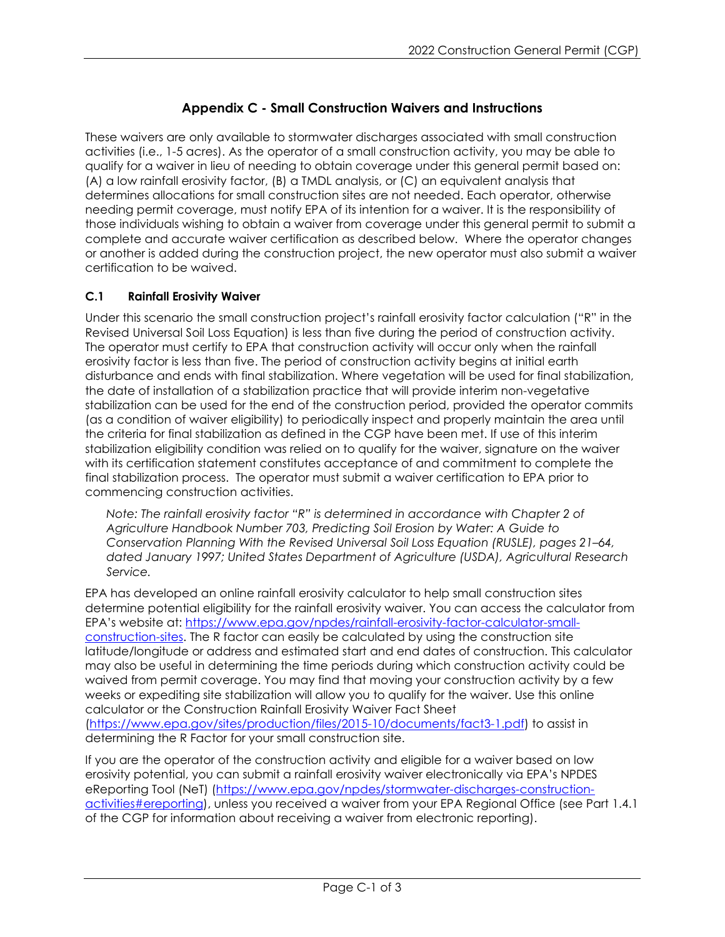# **Appendix C - Small Construction Waivers and Instructions**

These waivers are only available to stormwater discharges associated with small construction activities (i.e., 1-5 acres). As the operator of a small construction activity, you may be able to qualify for a waiver in lieu of needing to obtain coverage under this general permit based on: (A) a low rainfall erosivity factor, (B) a TMDL analysis, or (C) an equivalent analysis that determines allocations for small construction sites are not needed. Each operator, otherwise needing permit coverage, must notify EPA of its intention for a waiver. It is the responsibility of those individuals wishing to obtain a waiver from coverage under this general permit to submit a complete and accurate waiver certification as described below. Where the operator changes or another is added during the construction project, the new operator must also submit a waiver certification to be waived.

## **C.1 Rainfall Erosivity Waiver**

Under this scenario the small construction project's rainfall erosivity factor calculation ("R" in the Revised Universal Soil Loss Equation) is less than five during the period of construction activity. The operator must certify to EPA that construction activity will occur only when the rainfall erosivity factor is less than five. The period of construction activity begins at initial earth disturbance and ends with final stabilization. Where vegetation will be used for final stabilization, the date of installation of a stabilization practice that will provide interim non-vegetative stabilization can be used for the end of the construction period, provided the operator commits (as a condition of waiver eligibility) to periodically inspect and properly maintain the area until the criteria for final stabilization as defined in the CGP have been met. If use of this interim stabilization eligibility condition was relied on to qualify for the waiver, signature on the waiver with its certification statement constitutes acceptance of and commitment to complete the final stabilization process. The operator must submit a waiver certification to EPA prior to commencing construction activities.

*Note: The rainfall erosivity factor "R" is determined in accordance with Chapter 2 of Agriculture Handbook Number 703, Predicting Soil Erosion by Water: A Guide to Conservation Planning With the Revised Universal Soil Loss Equation (RUSLE), pages 21–64, dated January 1997; United States Department of Agriculture (USDA), Agricultural Research Service.*

EPA has developed an online rainfall erosivity calculator to help small construction sites determine potential eligibility for the rainfall erosivity waiver. You can access the calculator from EPA's website at: [https://www.epa.gov/npdes/rainfall-erosivity-factor-calculator-small](https://www.epa.gov/npdes/rainfall-erosivity-factor-calculator-small-construction-sites)[construction-sites.](https://www.epa.gov/npdes/rainfall-erosivity-factor-calculator-small-construction-sites) The R factor can easily be calculated by using the construction site latitude/longitude or address and estimated start and end dates of construction. This calculator may also be useful in determining the time periods during which construction activity could be waived from permit coverage. You may find that moving your construction activity by a few weeks or expediting site stabilization will allow you to qualify for the waiver. Use this online calculator or the Construction Rainfall Erosivity Waiver Fact Sheet [\(https://www.epa.gov/sites/production/files/2015-10/documents/fact3-1.pdf\)](https://www.epa.gov/sites/production/files/2015-10/documents/fact3-1.pdf) to assist in determining the R Factor for your small construction site.

If you are the operator of the construction activity and eligible for a waiver based on low erosivity potential, you can submit a rainfall erosivity waiver electronically via EPA's NPDES eReporting Tool (NeT) [\(https://www.epa.gov/npdes/stormwater-discharges-construction](https://www.epa.gov/npdes/stormwater-discharges-construction-activities#ereporting)[activities#ereporting\)](https://www.epa.gov/npdes/stormwater-discharges-construction-activities#ereporting), unless you received a waiver from your EPA Regional Office (see Part 1.4.1 of the CGP for information about receiving a waiver from electronic reporting).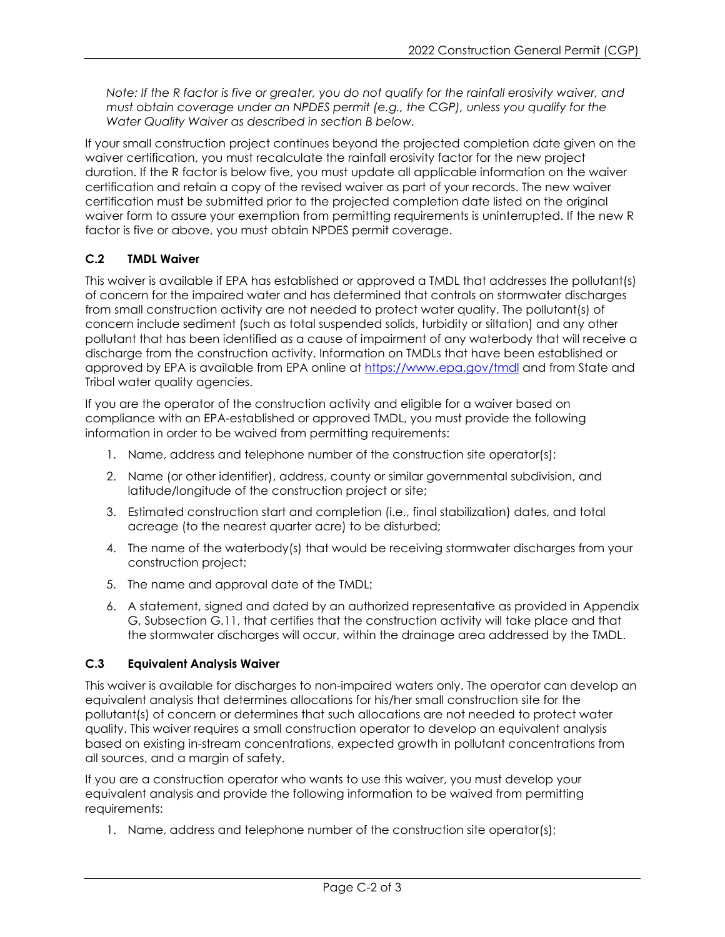*Note: If the R factor is five or greater, you do not qualify for the rainfall erosivity waiver, and must obtain coverage under an NPDES permit (e.g., the CGP), unless you qualify for the Water Quality Waiver as described in section B below.*

If your small construction project continues beyond the projected completion date given on the waiver certification, you must recalculate the rainfall erosivity factor for the new project duration. If the R factor is below five, you must update all applicable information on the waiver certification and retain a copy of the revised waiver as part of your records. The new waiver certification must be submitted prior to the projected completion date listed on the original waiver form to assure your exemption from permitting requirements is uninterrupted. If the new R factor is five or above, you must obtain NPDES permit coverage.

### **C.2 TMDL Waiver**

This waiver is available if EPA has established or approved a TMDL that addresses the pollutant(s) of concern for the impaired water and has determined that controls on stormwater discharges from small construction activity are not needed to protect water quality. The pollutant(s) of concern include sediment (such as total suspended solids, turbidity or siltation) and any other pollutant that has been identified as a cause of impairment of any waterbody that will receive a discharge from the construction activity. Information on TMDLs that have been established or approved by EPA is available from EPA online at<https://www.epa.gov/tmdl> and from State and Tribal water quality agencies.

If you are the operator of the construction activity and eligible for a waiver based on compliance with an EPA-established or approved TMDL, you must provide the following information in order to be waived from permitting requirements:

- 1. Name, address and telephone number of the construction site operator(s);
- 2. Name (or other identifier), address, county or similar governmental subdivision, and latitude/longitude of the construction project or site;
- 3. Estimated construction start and completion (i.e., final stabilization) dates, and total acreage (to the nearest quarter acre) to be disturbed;
- 4. The name of the waterbody(s) that would be receiving stormwater discharges from your construction project;
- 5. The name and approval date of the TMDL;
- 6. A statement, signed and dated by an authorized representative as provided in Appendix G, Subsection G.11, that certifies that the construction activity will take place and that the stormwater discharges will occur, within the drainage area addressed by the TMDL.

#### **C.3 Equivalent Analysis Waiver**

This waiver is available for discharges to non-impaired waters only. The operator can develop an equivalent analysis that determines allocations for his/her small construction site for the pollutant(s) of concern or determines that such allocations are not needed to protect water quality. This waiver requires a small construction operator to develop an equivalent analysis based on existing in-stream concentrations, expected growth in pollutant concentrations from all sources, and a margin of safety.

If you are a construction operator who wants to use this waiver, you must develop your equivalent analysis and provide the following information to be waived from permitting requirements:

1. Name, address and telephone number of the construction site operator(s);